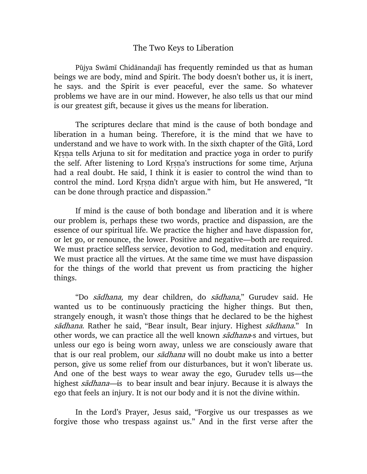## The Two Keys to Liberation

Pūjya Swāmī Chidānandajī has frequently reminded us that as human beings we are body, mind and Spirit. The body doesn't bother us, it is inert, he says. and the Spirit is ever peaceful, ever the same. So whatever problems we have are in our mind. However, he also tells us that our mind is our greatest gift, because it gives us the means for liberation.

The scriptures declare that mind is the cause of both bondage and liberation in a human being. Therefore, it is the mind that we have to understand and we have to work with. In the sixth chapter of the Gītā, Lord Krsna tells Arjuna to sit for meditation and practice yoga in order to purify the self. After listening to Lord Krsna's instructions for some time, Arjuna had a real doubt. He said, I think it is easier to control the wind than to control the mind. Lord Krsna didn't argue with him, but He answered, "It can be done through practice and dispassion."

If mind is the cause of both bondage and liberation and it is where our problem is, perhaps these two words, practice and dispassion, are the essence of our spiritual life. We practice the higher and have dispassion for, or let go, or renounce, the lower. Positive and negative—both are required. We must practice selfless service, devotion to God, meditation and enquiry. We must practice all the virtues. At the same time we must have dispassion for the things of the world that prevent us from practicing the higher things.

"Do sādhana, my dear children, do sādhana," Gurudev said. He wanted us to be continuously practicing the higher things. But then, strangely enough, it wasn't those things that he declared to be the highest sādhana. Rather he said, "Bear insult, Bear injury. Highest sādhana." In other words, we can practice all the well known sadhana-s and virtues, but unless our ego is being worn away, unless we are consciously aware that that is our real problem, our *sadhana* will no doubt make us into a better person, give us some relief from our disturbances, but it won't liberate us. And one of the best ways to wear away the ego, Gurudev tells us—the highest sadhana—is to bear insult and bear injury. Because it is always the ego that feels an injury. It is not our body and it is not the divine within.

In the Lord's Prayer, Jesus said, "Forgive us our trespasses as we forgive those who trespass against us." And in the first verse after the